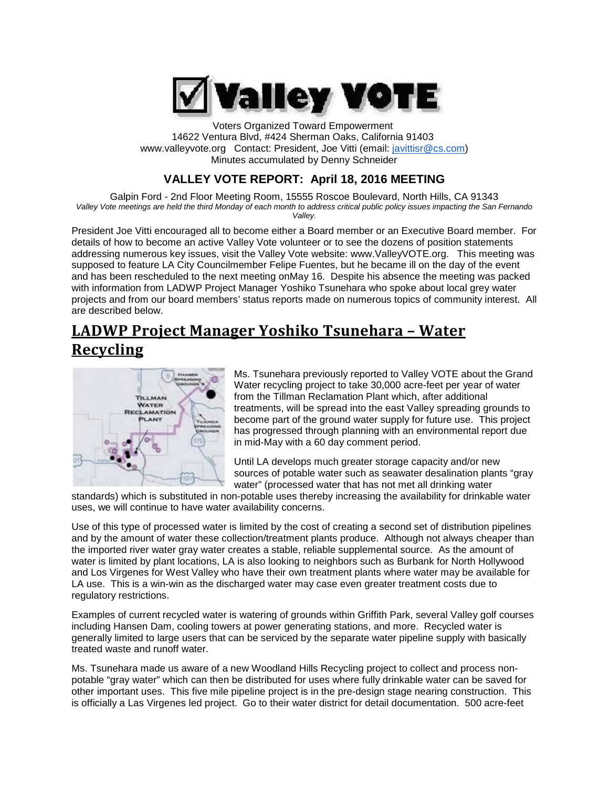

Voters Organized Toward Empowerment 14622 Ventura Blvd, #424 Sherman Oaks, California 91403 [www.valleyvote.org](http://www.valleyvote.org/) Contact: President, Joe Vitti [\(email:](mailto:javittisr@cs.com)) [javittisr@cs.com\)](mailto:javittisr@cs.com)) Minutes accumulated by Denny Schneider

## **VALLEY VOTE REPORT: April 18, 2016 MEETING**

Galpin Ford - 2nd Floor Meeting Room, 15555 Roscoe Boulevard, North Hills, CA 91343 *Valley Vote meetings are held the third Monday of each month to address critical public policy issues impacting the San Fernando Valley.*

President Joe Vitti encouraged all to become either a Board member or an Executive Board member. For details of how to become an active Valley Vote volunteer or to see the dozens of position statements addressing numerous key issues, visit the Valley Vote website: [www.ValleyVOTE.org.](http://www.valleyvote.org/) This meeting was supposed to feature LA City Councilmember Felipe Fuentes, but he became ill on the day of the event and has been rescheduled to the next meeting onMay 16. Despite his absence the meeting was packed with information from LADWP Project Manager Yoshiko Tsunehara who spoke about local grey water projects and from our board members' status reports made on numerous topics of community interest. All are described below.

# **LADWP Project Manager Yoshiko Tsunehara – Water Recycling**



Ms. Tsunehara previously reported to Valley VOTE about the Grand Water recycling project to take 30,000 acre-feet per year of water from the Tillman Reclamation Plant which, after additional treatments, will be spread into the east Valley spreading grounds to become part of the ground water supply for future use. This project has progressed through planning with an environmental report due in mid-May with a 60 day comment period.

Until LA develops much greater storage capacity and/or new sources of potable water such as seawater desalination plants "gray water" (processed water that has not met all drinking water

standards) which is substituted in non-potable uses thereby increasing the availability for drinkable water uses, we will continue to have water availability concerns.

Use of this type of processed water is limited by the cost of creating a second set of distribution pipelines and by the amount of water these collection/treatment plants produce. Although not always cheaper than the imported river water gray water creates a stable, reliable supplemental source. As the amount of water is limited by plant locations, LA is also looking to neighbors such as Burbank for North Hollywood and Los Virgenes for West Valley who have their own treatment plants where water may be available for LA use. This is a win-win as the discharged water may case even greater treatment costs due to regulatory restrictions.

Examples of current recycled water is watering of grounds within Griffith Park, several Valley golf courses including Hansen Dam, cooling towers at power generating stations, and more. Recycled water is generally limited to large users that can be serviced by the separate water pipeline supply with basically treated waste and runoff water.

Ms. Tsunehara made us aware of a new Woodland Hills Recycling project to collect and process nonpotable "gray water" which can then be distributed for uses where fully drinkable water can be saved for other important uses. This five mile pipeline project is in the pre-design stage nearing construction. This is officially a Las Virgenes led project. Go to their water district for detail documentation. 500 acre-feet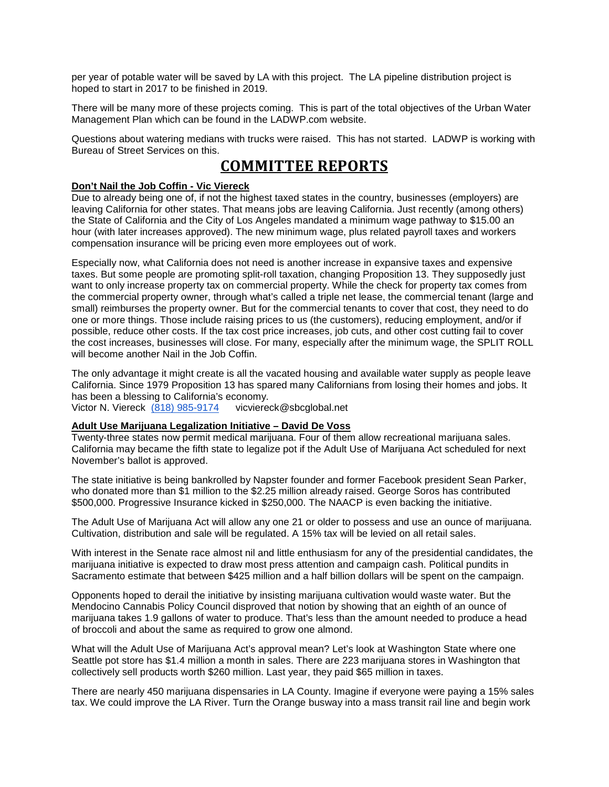per year of potable water will be saved by LA with this project. The LA pipeline distribution project is hoped to start in 2017 to be finished in 2019.

There will be many more of these projects coming. This is part of the total objectives of the Urban Water Management Plan which can be found in the LADWP.com website.

Questions about watering medians with trucks were raised. This has not started. LADWP is working with Bureau of Street Services on this.

## **COMMITTEE REPORTS**

### **Don't Nail the Job Coffin - Vic Viereck**

Due to already being one of, if not the highest taxed states in the country, businesses (employers) are leaving California for other states. That means jobs are leaving California. Just recently (among others) the State of California and the City of Los Angeles mandated a minimum wage pathway to \$15.00 an hour (with later increases approved). The new minimum wage, plus related payroll taxes and workers compensation insurance will be pricing even more employees out of work.

Especially now, what California does not need is another increase in expansive taxes and expensive taxes. But some people are promoting split-roll taxation, changing Proposition 13. They supposedly just want to only increase property tax on commercial property. While the check for property tax comes from the commercial property owner, through what's called a triple net lease, the commercial tenant (large and small) reimburses the property owner. But for the commercial tenants to cover that cost, they need to do one or more things. Those include raising prices to us (the customers), reducing employment, and/or if possible, reduce other costs. If the tax cost price increases, job cuts, and other cost cutting fail to cover the cost increases, businesses will close. For many, especially after the minimum wage, the SPLIT ROLL will become another Nail in the Job Coffin.

The only advantage it might create is all the vacated housing and available water supply as people leave California. Since 1979 Proposition 13 has spared many Californians from losing their homes and jobs. It has been a blessing to California's economy. Victor N. Viereck [\(818\) 985-9174](tel:%28818%29%20985-9174) [vicviereck@sbcglobal.net](mailto:vicviereck@sbcglobal.net)

## **Adult Use Marijuana Legalization Initiative – David De Voss**

Twenty-three states now permit medical marijuana. Four of them allow recreational marijuana sales. California may became the fifth state to legalize pot if the Adult Use of Marijuana Act scheduled for next November's ballot is approved.

The state initiative is being bankrolled by Napster founder and former Facebook president Sean Parker, who donated more than \$1 million to the \$2.25 million already raised. George Soros has contributed \$500,000. Progressive Insurance kicked in \$250,000. The NAACP is even backing the initiative.

The Adult Use of Marijuana Act will allow any one 21 or older to possess and use an ounce of marijuana. Cultivation, distribution and sale will be regulated. A 15% tax will be levied on all retail sales.

With interest in the Senate race almost nil and little enthusiasm for any of the presidential candidates, the marijuana initiative is expected to draw most press attention and campaign cash. Political pundits in Sacramento estimate that between \$425 million and a half billion dollars will be spent on the campaign.

Opponents hoped to derail the initiative by insisting marijuana cultivation would waste water. But the Mendocino Cannabis Policy Council disproved that notion by showing that an eighth of an ounce of marijuana takes 1.9 gallons of water to produce. That's less than the amount needed to produce a head of broccoli and about the same as required to grow one almond.

What will the Adult Use of Marijuana Act's approval mean? Let's look at Washington State where one Seattle pot store has \$1.4 million a month in sales. There are 223 marijuana stores in Washington that collectively sell products worth \$260 million. Last year, they paid \$65 million in taxes.

There are nearly 450 marijuana dispensaries in LA County. Imagine if everyone were paying a 15% sales tax. We could improve the LA River. Turn the Orange busway into a mass transit rail line and begin work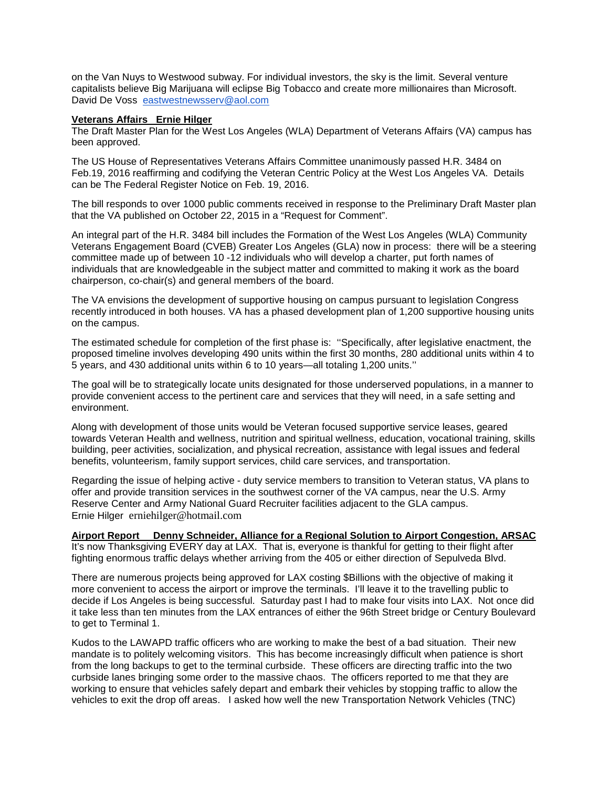on the Van Nuys to Westwood subway. For individual investors, the sky is the limit. Several venture capitalists believe Big Marijuana will eclipse Big Tobacco and create more millionaires than Microsoft. David De Voss [eastwestnewsserv@aol.com](mailto:eastwestnewsserv@aol.com)

#### **Veterans Affairs Ernie Hilger**

The Draft Master Plan for the West Los Angeles (WLA) Department of Veterans Affairs (VA) campus has been approved.

The US House of Representatives Veterans Affairs Committee unanimously passed H.R. 3484 on Feb.19, 2016 reaffirming and codifying the Veteran Centric Policy at the West Los Angeles VA. Details can be The Federal Register Notice on Feb. 19, 2016.

The bill responds to over 1000 public comments received in response to the Preliminary Draft Master plan that the VA published on October 22, 2015 in a "Request for Comment".

An integral part of the H.R. 3484 bill includes the Formation of the West Los Angeles (WLA) Community Veterans Engagement Board (CVEB) Greater Los Angeles (GLA) now in process: there will be a steering committee made up of between 10 -12 individuals who will develop a charter, put forth names of individuals that are knowledgeable in the subject matter and committed to making it work as the board chairperson, co-chair(s) and general members of the board.

The VA envisions the development of supportive housing on campus pursuant to legislation Congress recently introduced in both houses. VA has a phased development plan of 1,200 supportive housing units on the campus.

The estimated schedule for completion of the first phase is: ''Specifically, after legislative enactment, the proposed timeline involves developing 490 units within the first 30 months, 280 additional units within 4 to 5 years, and 430 additional units within 6 to 10 years—all totaling 1,200 units.''

The goal will be to strategically locate units designated for those underserved populations, in a manner to provide convenient access to the pertinent care and services that they will need, in a safe setting and environment.

Along with development of those units would be Veteran focused supportive service leases, geared towards Veteran Health and wellness, nutrition and spiritual wellness, education, vocational training, skills building, peer activities, socialization, and physical recreation, assistance with legal issues and federal benefits, volunteerism, family support services, child care services, and transportation.

Regarding the issue of helping active - duty service members to transition to Veteran status, VA plans to offer and provide transition services in the southwest corner of the VA campus, near the U.S. Army Reserve Center and Army National Guard Recruiter facilities adjacent to the GLA campus. Ernie Hilger [erniehilger@hotmail.com](mailto:erniehilger@hotmail.com)

### **Airport Report Denny Schneider, Alliance for a Regional Solution to Airport Congestion, ARSAC**

It's now Thanksgiving EVERY day at LAX. That is, everyone is thankful for getting to their flight after fighting enormous traffic delays whether arriving from the 405 or either direction of Sepulveda Blvd.

There are numerous projects being approved for LAX costing \$Billions with the objective of making it more convenient to access the airport or improve the terminals. I'll leave it to the travelling public to decide if Los Angeles is being successful. Saturday past I had to make four visits into LAX. Not once did it take less than ten minutes from the LAX entrances of either the 96th Street bridge or Century Boulevard to get to Terminal 1.

Kudos to the LAWAPD traffic officers who are working to make the best of a bad situation. Their new mandate is to politely welcoming visitors. This has become increasingly difficult when patience is short from the long backups to get to the terminal curbside. These officers are directing traffic into the two curbside lanes bringing some order to the massive chaos. The officers reported to me that they are working to ensure that vehicles safely depart and embark their vehicles by stopping traffic to allow the vehicles to exit the drop off areas. I asked how well the new Transportation Network Vehicles (TNC)